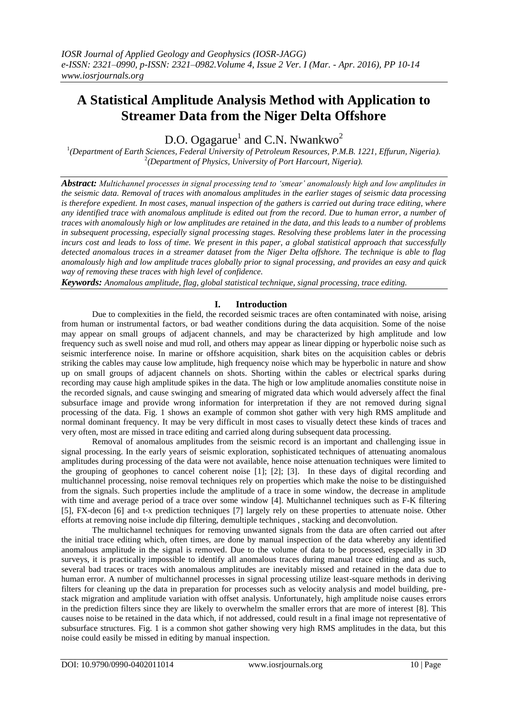# **A Statistical Amplitude Analysis Method with Application to Streamer Data from the Niger Delta Offshore**

D.O. Ogagarue<sup>1</sup> and C.N. Nwankwo<sup>2</sup>

1 *(Department of Earth Sciences, Federal University of Petroleum Resources, P.M.B. 1221, Effurun, Nigeria).* 2 *(Department of Physics, University of Port Harcourt, Nigeria).*

*Abstract: Multichannel processes in signal processing tend to 'smear' anomalously high and low amplitudes in the seismic data. Removal of traces with anomalous amplitudes in the earlier stages of seismic data processing is therefore expedient. In most cases, manual inspection of the gathers is carried out during trace editing, where any identified trace with anomalous amplitude is edited out from the record. Due to human error, a number of traces with anomalously high or low amplitudes are retained in the data, and this leads to a number of problems in subsequent processing, especially signal processing stages. Resolving these problems later in the processing incurs cost and leads to loss of time. We present in this paper, a global statistical approach that successfully detected anomalous traces in a streamer dataset from the Niger Delta offshore. The technique is able to flag anomalously high and low amplitude traces globally prior to signal processing, and provides an easy and quick way of removing these traces with high level of confidence.*

*Keywords: Anomalous amplitude, flag, global statistical technique, signal processing, trace editing.*

## **I. Introduction**

Due to complexities in the field, the recorded seismic traces are often contaminated with noise, arising from human or instrumental factors, or bad weather conditions during the data acquisition. Some of the noise may appear on small groups of adjacent channels, and may be characterized by high amplitude and low frequency such as swell noise and mud roll, and others may appear as linear dipping or hyperbolic noise such as seismic interference noise. In marine or offshore acquisition, shark bites on the acquisition cables or debris striking the cables may cause low amplitude, high frequency noise which may be hyperbolic in nature and show up on small groups of adjacent channels on shots. Shorting within the cables or electrical sparks during recording may cause high amplitude spikes in the data. The high or low amplitude anomalies constitute noise in the recorded signals, and cause swinging and smearing of migrated data which would adversely affect the final subsurface image and provide wrong information for interpretation if they are not removed during signal processing of the data. Fig. 1 shows an example of common shot gather with very high RMS amplitude and normal dominant frequency. It may be very difficult in most cases to visually detect these kinds of traces and very often, most are missed in trace editing and carried along during subsequent data processing.

Removal of anomalous amplitudes from the seismic record is an important and challenging issue in signal processing. In the early years of seismic exploration, sophisticated techniques of attenuating anomalous amplitudes during processing of the data were not available, hence noise attenuation techniques were limited to the grouping of geophones to cancel coherent noise [1]; [2]; [3]. In these days of digital recording and multichannel processing, noise removal techniques rely on properties which make the noise to be distinguished from the signals. Such properties include the amplitude of a trace in some window, the decrease in amplitude with time and average period of a trace over some window [4]. Multichannel techniques such as F-K filtering [5], FX-decon [6] and t-x prediction techniques [7] largely rely on these properties to attenuate noise. Other efforts at removing noise include dip filtering, demultiple techniques , stacking and deconvolution.

The multichannel techniques for removing unwanted signals from the data are often carried out after the initial trace editing which, often times, are done by manual inspection of the data whereby any identified anomalous amplitude in the signal is removed. Due to the volume of data to be processed, especially in 3D surveys, it is practically impossible to identify all anomalous traces during manual trace editing and as such, several bad traces or traces with anomalous amplitudes are inevitably missed and retained in the data due to human error. A number of multichannel processes in signal processing utilize least-square methods in deriving filters for cleaning up the data in preparation for processes such as velocity analysis and model building, prestack migration and amplitude variation with offset analysis. Unfortunately, high amplitude noise causes errors in the prediction filters since they are likely to overwhelm the smaller errors that are more of interest [8]. This causes noise to be retained in the data which, if not addressed, could result in a final image not representative of subsurface structures. Fig. 1 is a common shot gather showing very high RMS amplitudes in the data, but this noise could easily be missed in editing by manual inspection.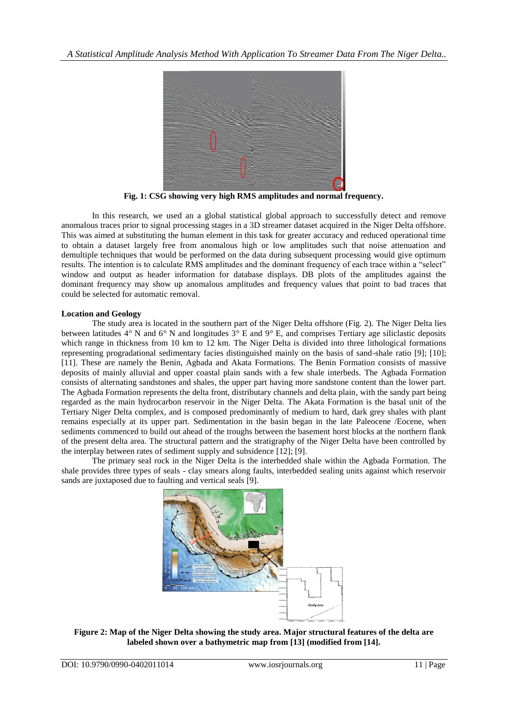

**Fig. 1: CSG showing very high RMS amplitudes and normal frequency.**

In this research, we used an a global statistical global approach to successfully detect and remove anomalous traces prior to signal processing stages in a 3D streamer dataset acquired in the Niger Delta offshore. This was aimed at substituting the human element in this task for greater accuracy and reduced operational time to obtain a dataset largely free from anomalous high or low amplitudes such that noise attenuation and demultiple techniques that would be performed on the data during subsequent processing would give optimum results. The intention is to calculate RMS amplitudes and the dominant frequency of each trace within a "select" window and output as header information for database displays. DB plots of the amplitudes against the dominant frequency may show up anomalous amplitudes and frequency values that point to bad traces that could be selected for automatic removal.

### **Location and Geology**

The study area is located in the southern part of the Niger Delta offshore (Fig. 2). The Niger Delta lies between latitudes 4*°* N and 6*°* N and longitudes 3*°* E and 9*°* E, and comprises Tertiary age siliclastic deposits which range in thickness from 10 km to 12 km. The Niger Delta is divided into three lithological formations representing progradational sedimentary facies distinguished mainly on the basis of sand-shale ratio [9]; [10]; [11]. These are namely the Benin, Agbada and Akata Formations. The Benin Formation consists of massive deposits of mainly alluvial and upper coastal plain sands with a few shale interbeds. The Agbada Formation consists of alternating sandstones and shales, the upper part having more sandstone content than the lower part. The Agbada Formation represents the delta front, distributary channels and delta plain, with the sandy part being regarded as the main hydrocarbon reservoir in the Niger Delta. The Akata Formation is the basal unit of the Tertiary Niger Delta complex, and is composed predominantly of medium to hard, dark grey shales with plant remains especially at its upper part. Sedimentation in the basin began in the late Paleocene /Eocene, when sediments commenced to build out ahead of the troughs between the basement horst blocks at the northern flank of the present delta area. The structural pattern and the stratigraphy of the Niger Delta have been controlled by the interplay between rates of sediment supply and subsidence [12]; [9].

The primary seal rock in the Niger Delta is the interbedded shale within the Agbada Formation. The shale provides three types of seals - clay smears along faults, interbedded sealing units against which reservoir sands are juxtaposed due to faulting and vertical seals [9].



**Figure 2: Map of the Niger Delta showing the study area. Major structural features of the delta are labeled shown over a bathymetric map from [13] (modified from [14].**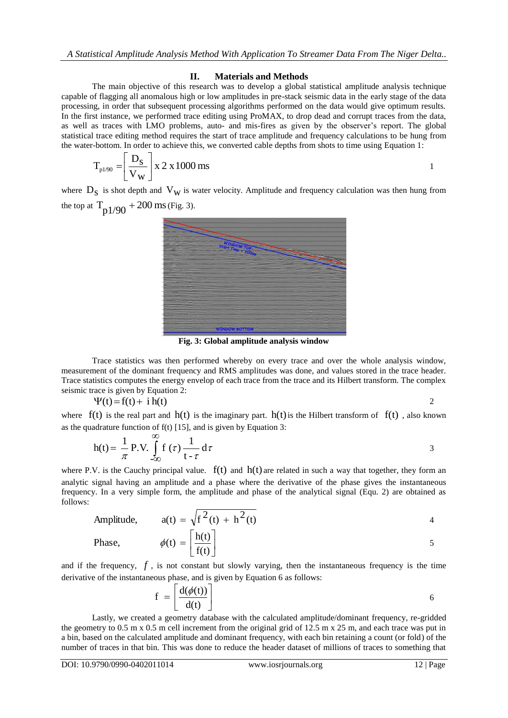### **II. Materials and Methods**

The main objective of this research was to develop a global statistical amplitude analysis technique capable of flagging all anomalous high or low amplitudes in pre-stack seismic data in the early stage of the data processing, in order that subsequent processing algorithms performed on the data would give optimum results. In the first instance, we performed trace editing using ProMAX, to drop dead and corrupt traces from the data, as well as traces with LMO problems, auto- and mis-fires as given by the observer's report. The global statistical trace editing method requires the start of trace amplitude and frequency calculations to be hung from the water-bottom. In order to achieve this, we converted cable depths from shots to time using Equation 1:

$$
T_{\text{p1/90}} = \left(\frac{D_s}{V_w}\right) x 2 x 1000 \text{ ms}
$$

where  $D_s$  is shot depth and  $V_w$  is water velocity. Amplitude and frequency calculation was then hung from the top at  $T_{p1/90} + 200$  ms (Fig. 3).



**Fig. 3: Global amplitude analysis window**

Trace statistics was then performed whereby on every trace and over the whole analysis window, measurement of the dominant frequency and RMS amplitudes was done, and values stored in the trace header. Trace statistics computes the energy envelop of each trace from the trace and its Hilbert transform. The complex seismic trace is given by Equation 2:

$$
\Psi(t) = f(t) + i h(t) \tag{2}
$$

where  $f(t)$  is the real part and  $h(t)$  is the imaginary part.  $h(t)$  is the Hilbert transform of  $f(t)$ , also known as the quadrature function of f(t) [15], and is given by Equation 3:

$$
h(t) = \frac{1}{\pi} P.V. \int_{-\infty}^{\infty} f(\tau) \frac{1}{t - \tau} d\tau
$$

where P.V. is the Cauchy principal value.  $f(t)$  and  $h(t)$  are related in such a way that together, they form an analytic signal having an amplitude and a phase where the derivative of the phase gives the instantaneous frequency. In a very simple form, the amplitude and phase of the analytical signal (Equ. 2) are obtained as follows:

Amplitude, 
$$
a(t) = \sqrt{f^2(t) + h^2(t)}
$$
  
\nPhase,  $\phi(t) = \left[\frac{h(t)}{f(t)}\right]$  5

and if the frequency,  $f$ , is not constant but slowly varying, then the instantaneous frequency is the time derivative of the instantaneous phase, and is given by Equation 6 as follows:

$$
f = \left[\frac{d(\phi(t))}{d(t)}\right]
$$

Lastly, we created a geometry database with the calculated amplitude/dominant frequency, re-gridded the geometry to 0.5 m x 0.5 m cell increment from the original grid of 12.5 m x 25 m, and each trace was put in a bin, based on the calculated amplitude and dominant frequency, with each bin retaining a count (or fold) of the number of traces in that bin. This was done to reduce the header dataset of millions of traces to something that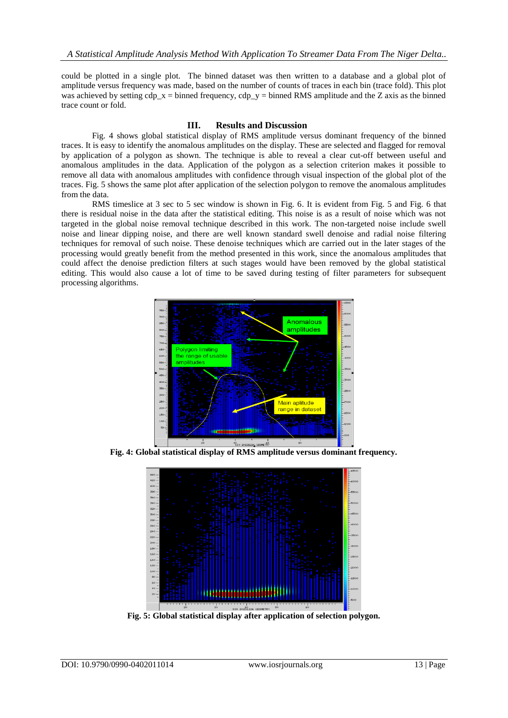could be plotted in a single plot. The binned dataset was then written to a database and a global plot of amplitude versus frequency was made, based on the number of counts of traces in each bin (trace fold). This plot was achieved by setting cdp\_x = binned frequency, cdp\_y = binned RMS amplitude and the Z axis as the binned trace count or fold.

### **III. Results and Discussion**

Fig. 4 shows global statistical display of RMS amplitude versus dominant frequency of the binned traces. It is easy to identify the anomalous amplitudes on the display. These are selected and flagged for removal by application of a polygon as shown. The technique is able to reveal a clear cut-off between useful and anomalous amplitudes in the data. Application of the polygon as a selection criterion makes it possible to remove all data with anomalous amplitudes with confidence through visual inspection of the global plot of the traces. Fig. 5 shows the same plot after application of the selection polygon to remove the anomalous amplitudes from the data.

RMS timeslice at 3 sec to 5 sec window is shown in Fig. 6. It is evident from Fig. 5 and Fig. 6 that there is residual noise in the data after the statistical editing. This noise is as a result of noise which was not targeted in the global noise removal technique described in this work. The non-targeted noise include swell noise and linear dipping noise, and there are well known standard swell denoise and radial noise filtering techniques for removal of such noise. These denoise techniques which are carried out in the later stages of the processing would greatly benefit from the method presented in this work, since the anomalous amplitudes that could affect the denoise prediction filters at such stages would have been removed by the global statistical editing. This would also cause a lot of time to be saved during testing of filter parameters for subsequent processing algorithms.



**Fig. 4: Global statistical display of RMS amplitude versus dominant frequency.**



**Fig. 5: Global statistical display after application of selection polygon.**